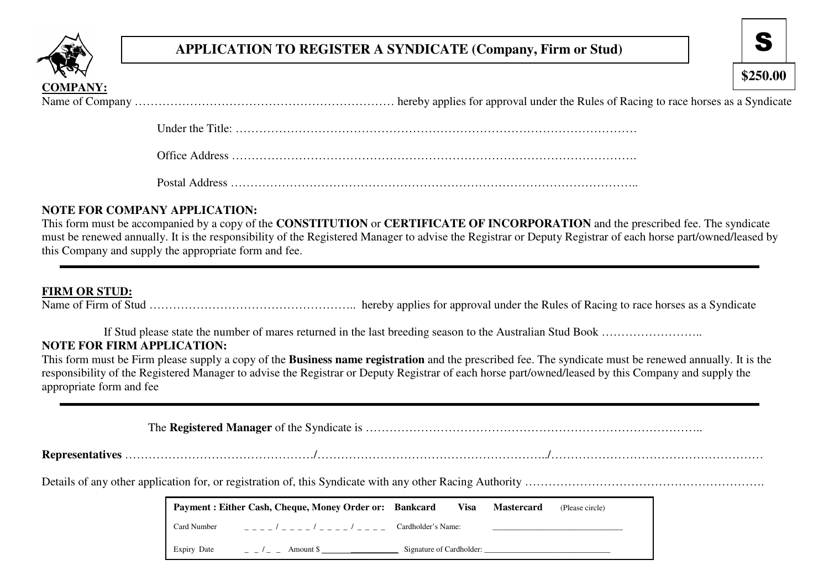

# **APPLICATION TO REGISTER A SYNDICATE (Company, Firm or Stud)**

**\$250.00**

Under the Title: …………………………………………………………………………………………

Office Address ………………………………………………………………………………………….

Postal Address …………………………………………………………………………………………..

## **NOTE FOR COMPANY APPLICATION:**

 This form must be accompanied by a copy of the **CONSTITUTION** or **CERTIFICATE OF INCORPORATION** and the prescribed fee. The syndicate must be renewed annually. It is the responsibility of the Registered Manager to advise the Registrar or Deputy Registrar of each horse part/owned/leased by this Company and supply the appropriate form and fee.

### **FIRM OR STUD:**

Name of Firm of Stud …………………………………………….. hereby applies for approval under the Rules of Racing to race horses as a Syndicate

If Stud please state the number of mares returned in the last breeding season to the Australian Stud Book ………………………

# **NOTE FOR FIRM APPLICATION:**

 This form must be Firm please supply a copy of the **Business name registration** and the prescribed fee. The syndicate must be renewed annually. It is the responsibility of the Registered Manager to advise the Registrar or Deputy Registrar of each horse part/owned/leased by this Company and supply the appropriate form and fee

The **Registered Manager** of the Syndicate is …………………………………………………………………………..

**Representatives** …………………………………………/…………………………………………………../………………………………………………

Details of any other application for, or registration of, this Syndicate with any other Racing Authority …………………………………………………….

|             | Payment : Either Cash, Cheque, Money Order or: Bankcard |                          | Visa | <b>Mastercard</b> | (Please circle) |
|-------------|---------------------------------------------------------|--------------------------|------|-------------------|-----------------|
| Card Number | _ _ _ _ / _ _ _ _ / _ _ _ _ / _ _ _ _                   | Cardholder's Name:       |      |                   |                 |
| Expiry Date | Amount S                                                | Signature of Cardholder: |      |                   |                 |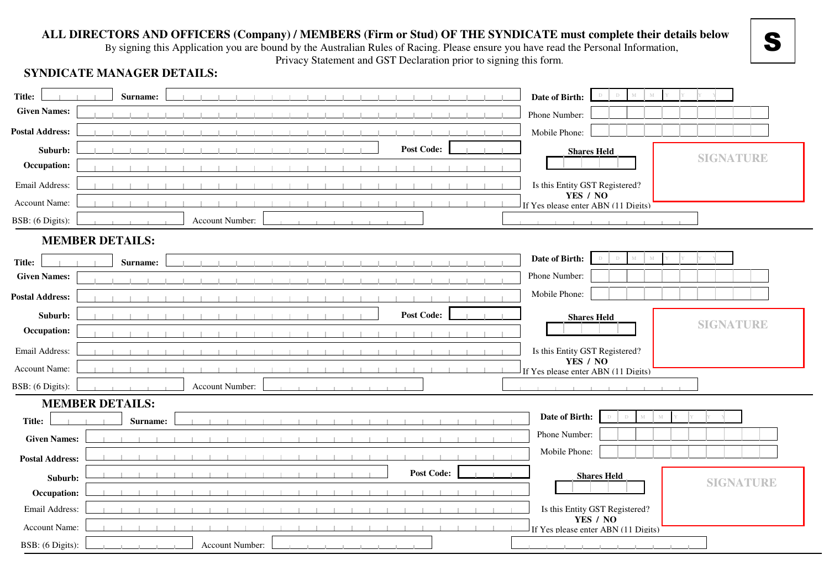### **ALL DIRECTORS AND OFFICERS (Company) / MEMBERS (Firm or Stud) OF THE SYNDICATE must complete their details below**

By signing this Application you are bound by the Australian Rules of Racing. Please ensure you have read the Personal Information,

Privacy Statement and GST Declaration prior to signing this form.

S

## **SYNDICATE MANAGER DETAILS:**

| Title:                 | Surname:               | $\mathbb D$<br>Date of Birth:                   |
|------------------------|------------------------|-------------------------------------------------|
| <b>Given Names:</b>    |                        | Phone Number:                                   |
| <b>Postal Address:</b> |                        | Mobile Phone:                                   |
| Suburb:                | <b>Post Code:</b>      | <b>Shares Held</b><br><b>SIGNATURE</b>          |
| Occupation:            |                        |                                                 |
| Email Address:         |                        | Is this Entity GST Registered?                  |
| Account Name:          |                        | YES / NO<br>If Yes please enter ABN (11 Digits) |
| BSB: (6 Digits):       | Account Number:        |                                                 |
|                        | <b>MEMBER DETAILS:</b> |                                                 |
| Title:                 | Surname:               | Date of Birth:                                  |
| <b>Given Names:</b>    |                        | Phone Number:                                   |
| <b>Postal Address:</b> |                        | Mobile Phone:                                   |
| Suburb:                | <b>Post Code:</b>      | <b>Shares Held</b>                              |
| Occupation:            |                        | <b>SIGNATURE</b>                                |
| Email Address:         |                        | Is this Entity GST Registered?                  |
| Account Name:          |                        | YES / NO<br>If Yes please enter ABN (11 Digits) |
| BSB: (6 Digits):       | Account Number:        |                                                 |
|                        | <b>MEMBER DETAILS:</b> |                                                 |
| Title:                 | Surname:               | Date of Birth:                                  |
| <b>Given Names:</b>    |                        | Phone Number:                                   |
| <b>Postal Address:</b> |                        | Mobile Phone:                                   |
| Suburb:                | <b>Post Code:</b>      | <b>Shares Held</b><br><b>SIGNATURE</b>          |
| Occupation:            |                        |                                                 |
| Email Address:         |                        | Is this Entity GST Registered?                  |
| Account Name:          |                        | YES / NO<br>If Yes please enter ABN (11 Digits) |
| BSB: (6 Digits):       | Account Number:        |                                                 |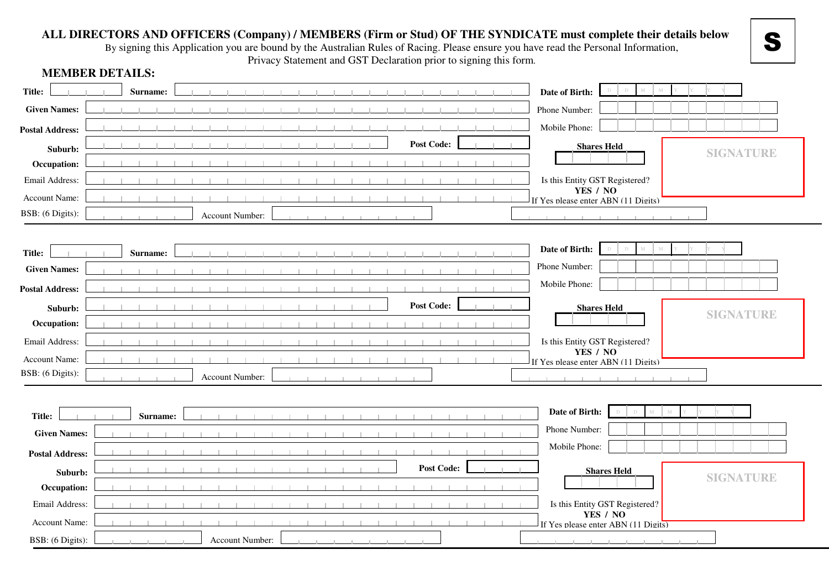### **ALL DIRECTORS AND OFFICERS (Company) / MEMBERS (Firm or Stud) OF THE SYNDICATE must complete their details below**

By signing this Application you are bound by the Australian Rules of Racing. Please ensure you have read the Personal Information,

S

Privacy Statement and GST Declaration prior to signing this form.

| Title:                 | Surname: |                 |                   | Date of Birth:                                  |
|------------------------|----------|-----------------|-------------------|-------------------------------------------------|
| <b>Given Names:</b>    |          |                 |                   | Phone Number:                                   |
| <b>Postal Address:</b> |          |                 |                   | Mobile Phone:                                   |
| Suburb:                |          |                 | <b>Post Code:</b> | <b>Shares Held</b><br><b>SIGNATURE</b>          |
| Occupation:            |          |                 |                   |                                                 |
| Email Address:         |          |                 |                   | Is this Entity GST Registered?                  |
| Account Name:          |          |                 |                   | YES / NO<br>If Yes please enter ABN (11 Digits) |
| BSB: (6 Digits):       |          | Account Number: |                   |                                                 |
|                        |          |                 |                   |                                                 |
| <b>Title:</b>          | Surname: |                 |                   | Date of Birth:                                  |
| <b>Given Names:</b>    |          |                 |                   | Phone Number:                                   |
| <b>Postal Address:</b> |          |                 |                   | Mobile Phone:                                   |
| Suburb:                |          |                 | <b>Post Code:</b> | <b>Shares Held</b>                              |
| Occupation:            |          |                 |                   | <b>SIGNATURE</b>                                |
| Email Address:         |          |                 |                   | Is this Entity GST Registered?                  |
| Account Name:          |          |                 |                   | YES / NO<br>If Yes please enter ABN (11 Digits) |
| BSB: (6 Digits):       |          | Account Number: |                   |                                                 |
|                        |          |                 |                   |                                                 |
|                        |          |                 |                   | Date of Birth:                                  |
| Title:                 | Surname: |                 |                   | Phone Number:                                   |
| <b>Given Names:</b>    |          |                 |                   |                                                 |
| <b>Postal Address:</b> |          |                 |                   | Mobile Phone:                                   |
| Suburb:                |          |                 | <b>Post Code:</b> | <b>Shares Held</b>                              |
| Occupation:            |          |                 |                   | <b>SIGNATURE</b>                                |
| Email Address:         |          |                 |                   | Is this Entity GST Registered?                  |
| Account Name:          |          |                 |                   | YES / NO<br>If Yes please enter ABN (11 Digits) |
| BSB: (6 Digits):       |          | Account Number: |                   |                                                 |